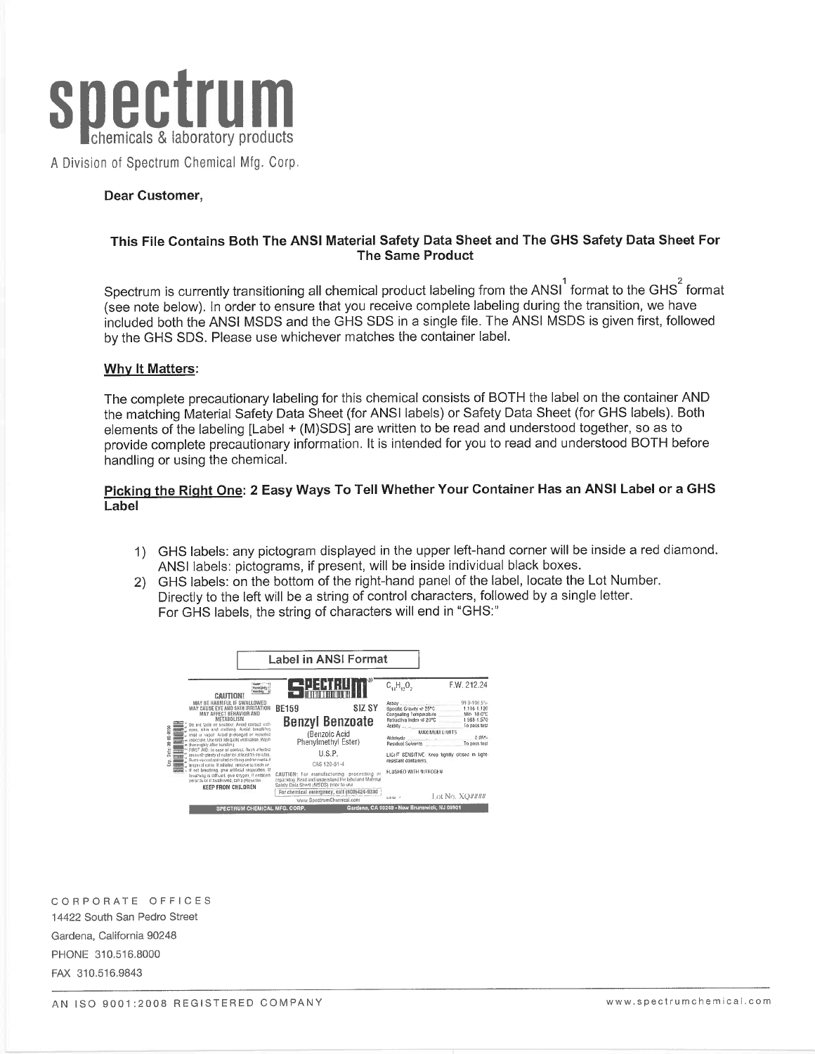

A Division of Spectrum Chemical Mfg. Corp.

## Dear Customer,

## This File Contains Both The ANSI Material Safety Data Sheet and The GHS Safety Data Sheet For **The Same Product**

Spectrum is currently transitioning all chemical product labeling from the ANSI<sup>1</sup> format to the GHS<sup>2</sup> format (see note below). In order to ensure that you receive complete labeling during the transition, we have included both the ANSI MSDS and the GHS SDS in a single file. The ANSI MSDS is given first, followed by the GHS SDS. Please use whichever matches the container label.

#### Why It Matters:

The complete precautionary labeling for this chemical consists of BOTH the label on the container AND the matching Material Safety Data Sheet (for ANSI labels) or Safety Data Sheet (for GHS labels). Both elements of the labeling [Label + (M)SDS] are written to be read and understood together, so as to provide complete precautionary information. It is intended for you to read and understood BOTH before handling or using the chemical.

## Picking the Right One: 2 Easy Ways To Tell Whether Your Container Has an ANSI Label or a GHS Label

- 1) GHS labels: any pictogram displayed in the upper left-hand corner will be inside a red diamond. ANSI labels: pictograms, if present, will be inside individual black boxes.
- GHS labels: on the bottom of the right-hand panel of the label, locate the Lot Number. 2) Directly to the left will be a string of control characters, followed by a single letter. For GHS labels, the string of characters will end in "GHS:"



CORPORATE OFFICES 14422 South San Pedro Street Gardena, California 90248 PHONE 310.516.8000 FAX 310.516.9843

AN ISO 9001:2008 REGISTERED COMPANY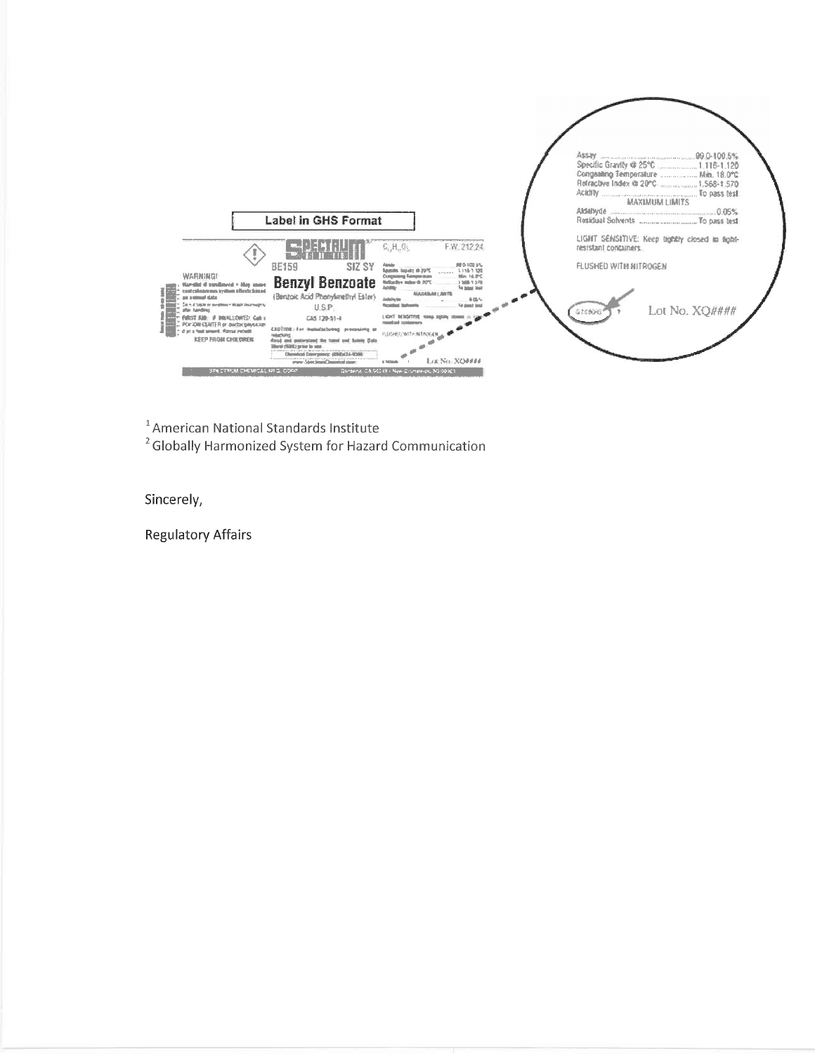

<sup>1</sup> American National Standards Institute

<sup>2</sup> Globally Harmonized System for Hazard Communication

Sincerely,

**Regulatory Affairs**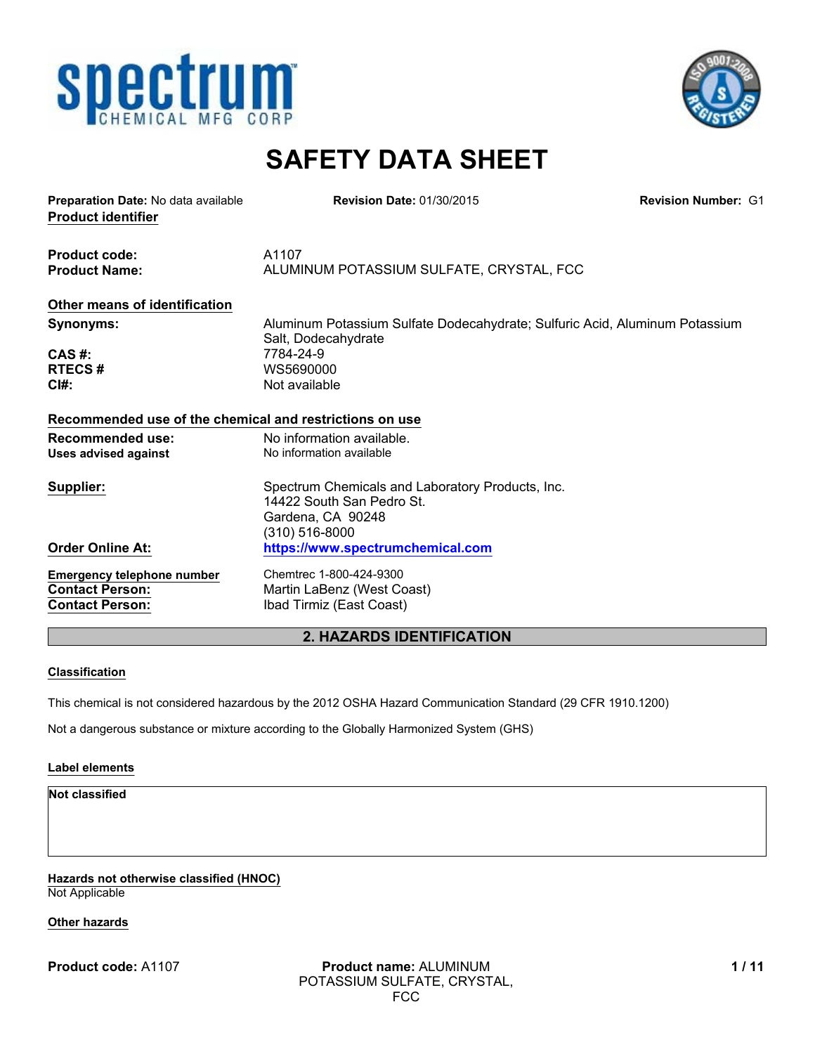



# **SAFETY DATA SHEET**

**Product identifier Preparation Date:** No data available **Revision Date:** 01/30/2015 **Revision Number:** G1

| <b>Product code:</b> | A1107                                    |
|----------------------|------------------------------------------|
| <b>Product Name:</b> | ALUMINUM POTASSIUM SULFATE, CRYSTAL, FCC |

# **Other means of identification**

**Synonyms:** Aluminum Potassium Sulfate Dodecahydrate; Sulfuric Acid, Aluminum Potassium Salt, Dodecahydrate **CAS #:** 7784-24-9 **RTECS #** WS5690000 **CI#:** Not available

## **Recommended use of the chemical and restrictions on use**

**Recommended use:** No information available. **Uses advised against** No information available

| Supplier:                         | Spectrum Chemicals and Laboratory Products, Inc. |
|-----------------------------------|--------------------------------------------------|
|                                   | 14422 South San Pedro St.                        |
|                                   | Gardena, CA 90248                                |
|                                   | $(310)$ 516-8000                                 |
| <b>Order Online At:</b>           | https://www.spectrumchemical.com                 |
| <b>Emergency telephone number</b> | Chemtrec 1-800-424-9300                          |
| <b>Contact Person:</b>            | Martin LaBenz (West Coast)                       |

**Contact Person:** Ibad Tirmiz (East Coast)

## **2. HAZARDS IDENTIFICATION**

## **Classification**

This chemical is not considered hazardous by the 2012 OSHA Hazard Communication Standard (29 CFR 1910.1200)

Not a dangerous substance or mixture according to the Globally Harmonized System (GHS)

## **Label elements**

**Not classified**

**Hazards not otherwise classified (HNOC)** Not Applicable

**Other hazards**

**Product code:** A1107 **Product name:** ALUMINUM POTASSIUM SULFATE, CRYSTAL, FCC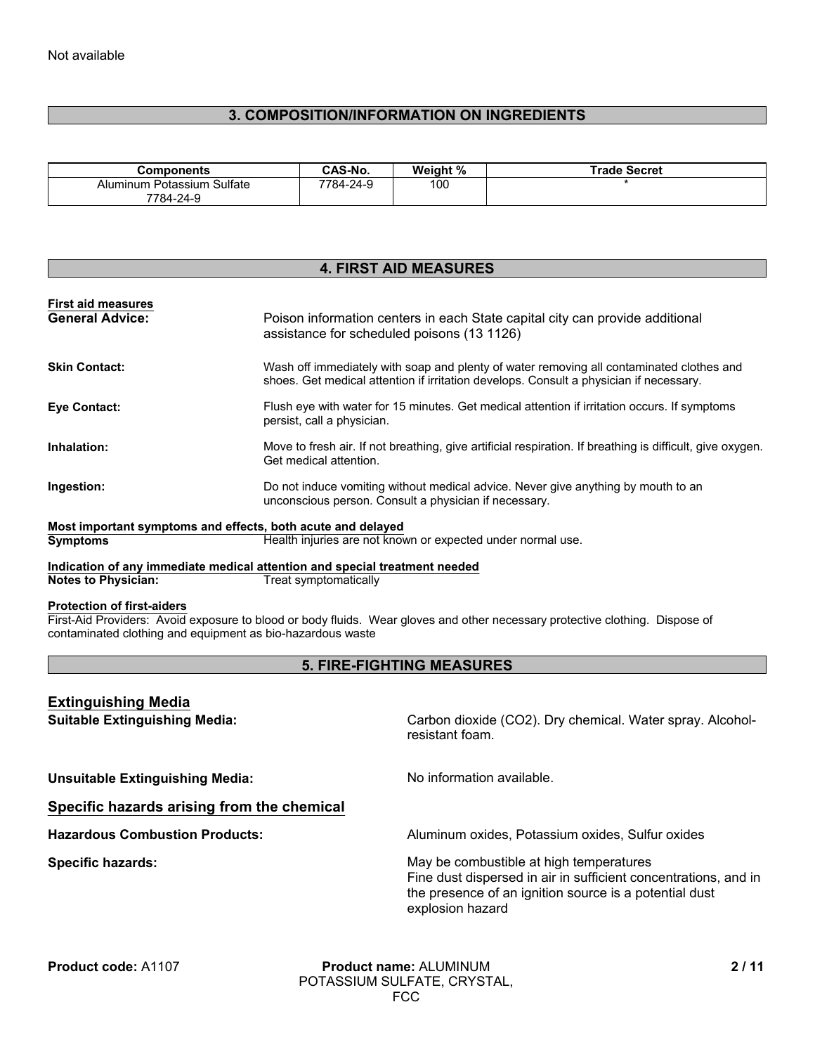# **3. COMPOSITION/INFORMATION ON INGREDIENTS**

| Components                         | CAS-No.          | Weight % | Trade Secret |
|------------------------------------|------------------|----------|--------------|
| Sulfate<br>. Potassium<br>Aluminum | ے-784–<br>1-24-9 | 100      |              |
| 7784-24-9                          |                  |          |              |

## **4. FIRST AID MEASURES**

| <b>First aid measures</b><br><b>General Advice:</b>         | Poison information centers in each State capital city can provide additional<br>assistance for scheduled poisons (13 1126)                                                         |
|-------------------------------------------------------------|------------------------------------------------------------------------------------------------------------------------------------------------------------------------------------|
| <b>Skin Contact:</b>                                        | Wash off immediately with soap and plenty of water removing all contaminated clothes and<br>shoes. Get medical attention if irritation develops. Consult a physician if necessary. |
| <b>Eve Contact:</b>                                         | Flush eye with water for 15 minutes. Get medical attention if irritation occurs. If symptoms<br>persist, call a physician.                                                         |
| Inhalation:                                                 | Move to fresh air. If not breathing, give artificial respiration. If breathing is difficult, give oxygen.<br>Get medical attention.                                                |
| Ingestion:                                                  | Do not induce vomiting without medical advice. Never give anything by mouth to an<br>unconscious person. Consult a physician if necessary.                                         |
| Most important symptoms and effects, both acute and delayed |                                                                                                                                                                                    |

**Symptoms** Health injuries are not known or expected under normal use.

**Indication of any immediate medical attention and special treatment needed Notes to Physician:** 

#### **Protection of first-aiders**

First-Aid Providers: Avoid exposure to blood or body fluids. Wear gloves and other necessary protective clothing. Dispose of contaminated clothing and equipment as bio-hazardous waste

## **5. FIRE-FIGHTING MEASURES**

| Carbon dioxide (CO2). Dry chemical. Water spray. Alcohol-<br>resistant foam.                                                                                                             |
|------------------------------------------------------------------------------------------------------------------------------------------------------------------------------------------|
| No information available.                                                                                                                                                                |
|                                                                                                                                                                                          |
| Aluminum oxides. Potassium oxides. Sulfur oxides                                                                                                                                         |
| May be combustible at high temperatures<br>Fine dust dispersed in air in sufficient concentrations, and in<br>the presence of an ignition source is a potential dust<br>explosion hazard |
|                                                                                                                                                                                          |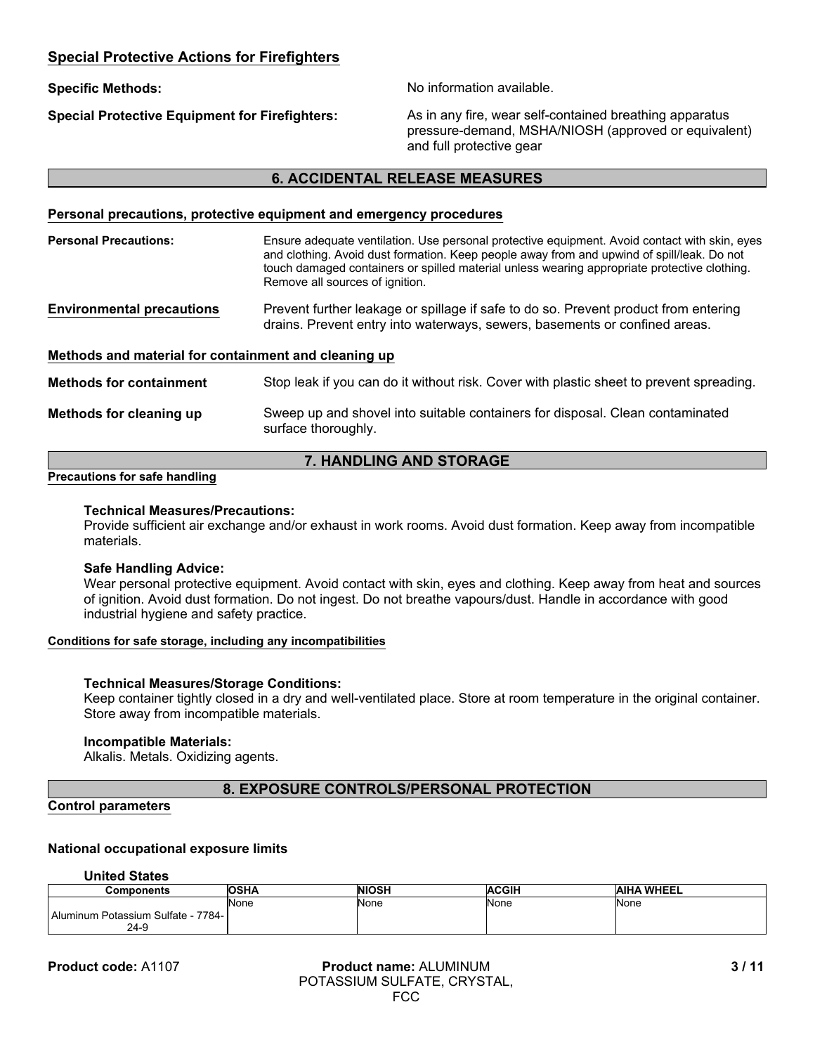## **Special Protective Actions for Firefighters**

**Specific Methods:** No information available.

**Special Protective Equipment for Firefighters:** As in any fire, wear self-contained breathing apparatus pressure-demand, MSHA/NIOSH (approved or equivalent) and full protective gear

## **6. ACCIDENTAL RELEASE MEASURES**

# **Personal precautions, protective equipment and emergency procedures Personal Precautions:** Ensure adequate ventilation. Use personal protective equipment. Avoid contact with skin, eyes and clothing. Avoid dust formation. Keep people away from and upwind of spill/leak. Do not touch damaged containers or spilled material unless wearing appropriate protective clothing. Remove all sources of ignition. **Environmental precautions** Prevent further leakage or spillage if safe to do so. Prevent product from entering drains. Prevent entry into waterways, sewers, basements or confined areas. **Methods and material for containment and cleaning up Methods for containment** Stop leak if you can do it without risk. Cover with plastic sheet to prevent spreading. **Methods for cleaning up** Sweep up and shovel into suitable containers for disposal. Clean contaminated surface thoroughly.

## **7. HANDLING AND STORAGE**

## **Precautions for safe handling**

## **Technical Measures/Precautions:**

Provide sufficient air exchange and/or exhaust in work rooms. Avoid dust formation. Keep away from incompatible materials.

## **Safe Handling Advice:**

Wear personal protective equipment. Avoid contact with skin, eyes and clothing. Keep away from heat and sources of ignition. Avoid dust formation. Do not ingest. Do not breathe vapours/dust. Handle in accordance with good industrial hygiene and safety practice.

#### **Conditions for safe storage, including any incompatibilities**

## **Technical Measures/Storage Conditions:**

Keep container tightly closed in a dry and well-ventilated place. Store at room temperature in the original container. Store away from incompatible materials.

## **Incompatible Materials:**

Alkalis. Metals. Oxidizing agents.

**8. EXPOSURE CONTROLS/PERSONAL PROTECTION**

## **Control parameters**

## **National occupational exposure limits**

**United States**

| Components                            | <b>OSHA</b> | <b>NIOSH</b> | ACGIH | <b>AIHA WHEEL</b> |
|---------------------------------------|-------------|--------------|-------|-------------------|
|                                       | <b>None</b> | None         | None  | None              |
| 7784-<br>Aluminum Potassium Sulfate - |             |              |       |                   |
| $24-9$                                |             |              |       |                   |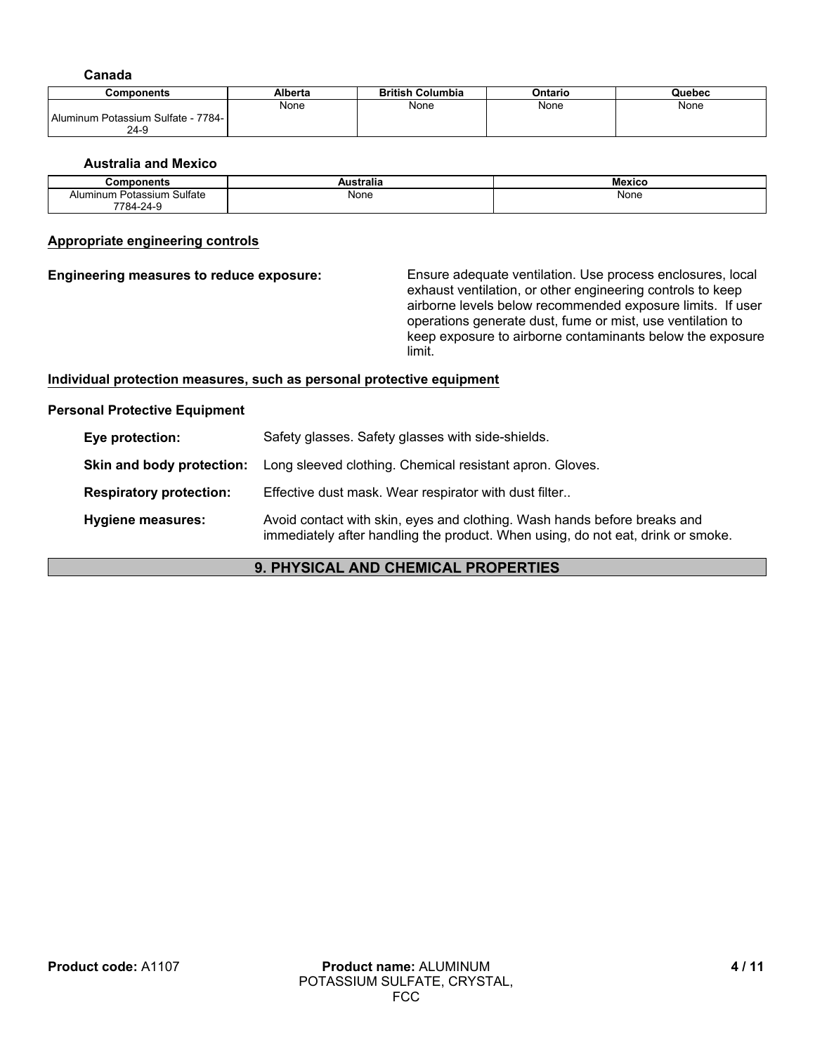**Canada**

| Components                                               | Alberta | <b>British Columbia</b> | Ontario | Quebec |
|----------------------------------------------------------|---------|-------------------------|---------|--------|
| 7784-<br><b>I Aluminum Potassium Sulfate -</b><br>$24-9$ | None    | None                    | None    | None   |

## **Australia and Mexico**

| `ponents<br>∵omٽ                 | stralia      | - - -<br>Mexicc |
|----------------------------------|--------------|-----------------|
| Sulfate<br>Potassium<br>Aluminum | None<br>____ | None            |
| $7784 - 24 - 1$                  |              |                 |

## **Appropriate engineering controls**

| <b>Engineering measures to reduce exposure:</b> | Ensure adequate ventilation. Use process enclosures, local<br>exhaust ventilation, or other engineering controls to keep<br>airborne levels below recommended exposure limits. If user<br>operations generate dust, fume or mist, use ventilation to<br>keep exposure to airborne contaminants below the exposure<br>limit. |
|-------------------------------------------------|-----------------------------------------------------------------------------------------------------------------------------------------------------------------------------------------------------------------------------------------------------------------------------------------------------------------------------|
|-------------------------------------------------|-----------------------------------------------------------------------------------------------------------------------------------------------------------------------------------------------------------------------------------------------------------------------------------------------------------------------------|

#### **Individual protection measures, such as personal protective equipment**

## **Personal Protective Equipment**

| Eye protection: | Safety glasses. Safety glasses with side-shields. |
|-----------------|---------------------------------------------------|
|-----------------|---------------------------------------------------|

**Skin and body protection:** Long sleeved clothing. Chemical resistant apron. Gloves.

**Respiratory protection:** Effective dust mask. Wear respirator with dust filter..

**Hygiene measures:** Avoid contact with skin, eyes and clothing. Wash hands before breaks and immediately after handling the product. When using, do not eat, drink or smoke.

## **9. PHYSICAL AND CHEMICAL PROPERTIES**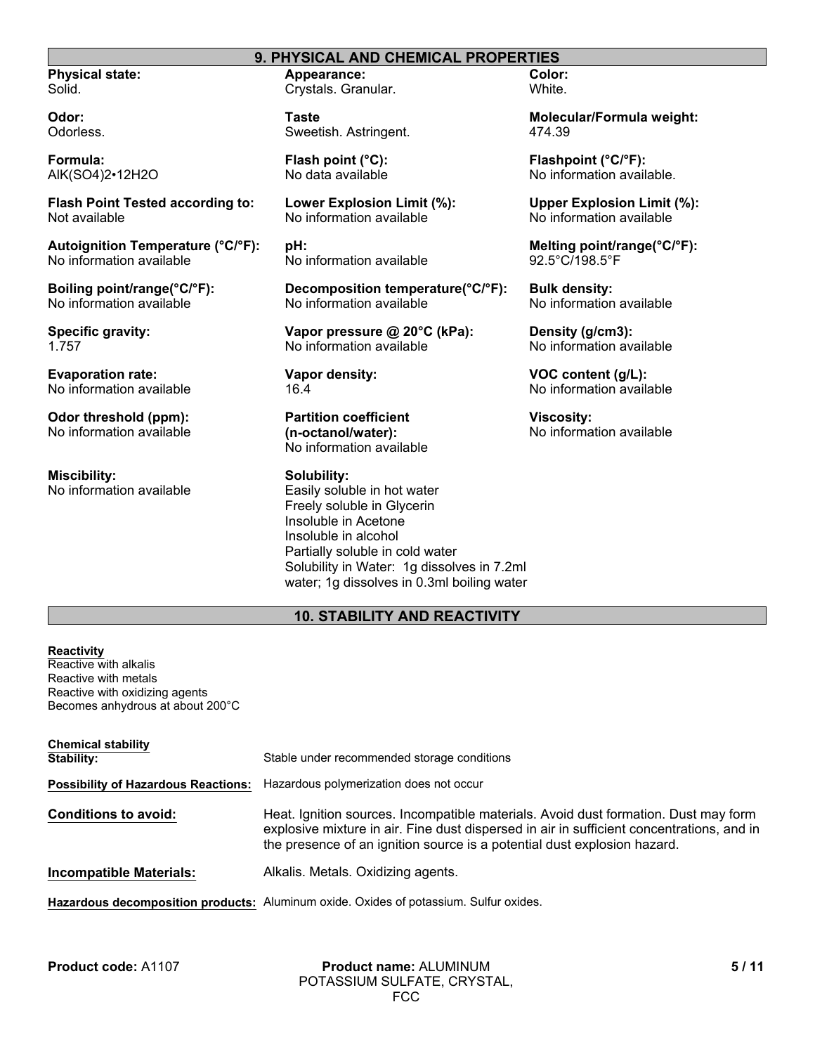## **9. PHYSICAL AND CHEMICAL PROPERTIES**

**Physical state:** Solid.

**Odor:** Odorless.

**Formula:** AlK(SO4)2•12H2O

**Flash Point Tested according to:** Not available

**Autoignition Temperature (°C/°F):** No information available

**Boiling point/range(°C/°F):** No information available

**Specific gravity:** 1.757

**Evaporation rate:** No information available

**Odor threshold (ppm):** No information available

**Miscibility:** No information available **Appearance:** Crystals. Granular.

**Taste** Sweetish. Astringent.

**Flash point (°C):** No data available

**Lower Explosion Limit (%):** No information available

**pH:** No information available

**Decomposition temperature(°C/°F):** No information available

**Vapor pressure @ 20°C (kPa):** No information available

**Vapor density:** 16.4

**Partition coefficient (n-octanol/water):** No information available

## **Solubility:**

Easily soluble in hot water Freely soluble in Glycerin Insoluble in Acetone Insoluble in alcohol Partially soluble in cold water Solubility in Water: 1g dissolves in 7.2ml water; 1g dissolves in 0.3ml boiling water

## **10. STABILITY AND REACTIVITY**

#### **Reactivity**

Reactive with alkalis Reactive with metals Reactive with oxidizing agents Becomes anhydrous at about 200°C

| <b>Chemical stability</b><br>Stability: | Stable under recommended storage conditions                                                                                                                                                                                                                  |
|-----------------------------------------|--------------------------------------------------------------------------------------------------------------------------------------------------------------------------------------------------------------------------------------------------------------|
|                                         | <b>Possibility of Hazardous Reactions:</b> Hazardous polymerization does not occur                                                                                                                                                                           |
| <b>Conditions to avoid:</b>             | Heat. Ignition sources. Incompatible materials. Avoid dust formation. Dust may form<br>explosive mixture in air. Fine dust dispersed in air in sufficient concentrations, and in<br>the presence of an ignition source is a potential dust explosion hazard. |
| <b>Incompatible Materials:</b>          | Alkalis. Metals. Oxidizing agents.                                                                                                                                                                                                                           |
|                                         | Hazardous decomposition products: Aluminum oxide. Oxides of potassium. Sulfur oxides.                                                                                                                                                                        |

**Product code:** A1107

**Color:** White.

**Molecular/Formula weight:** 474.39

**Flashpoint (°C/°F):** No information available.

**Upper Explosion Limit (%):** No information available

**Melting point/range(°C/°F):** 92.5°C/198.5°F

**Bulk density:** No information available

**Density (g/cm3):** No information available

**VOC content (g/L):** No information available

**Viscosity:** No information available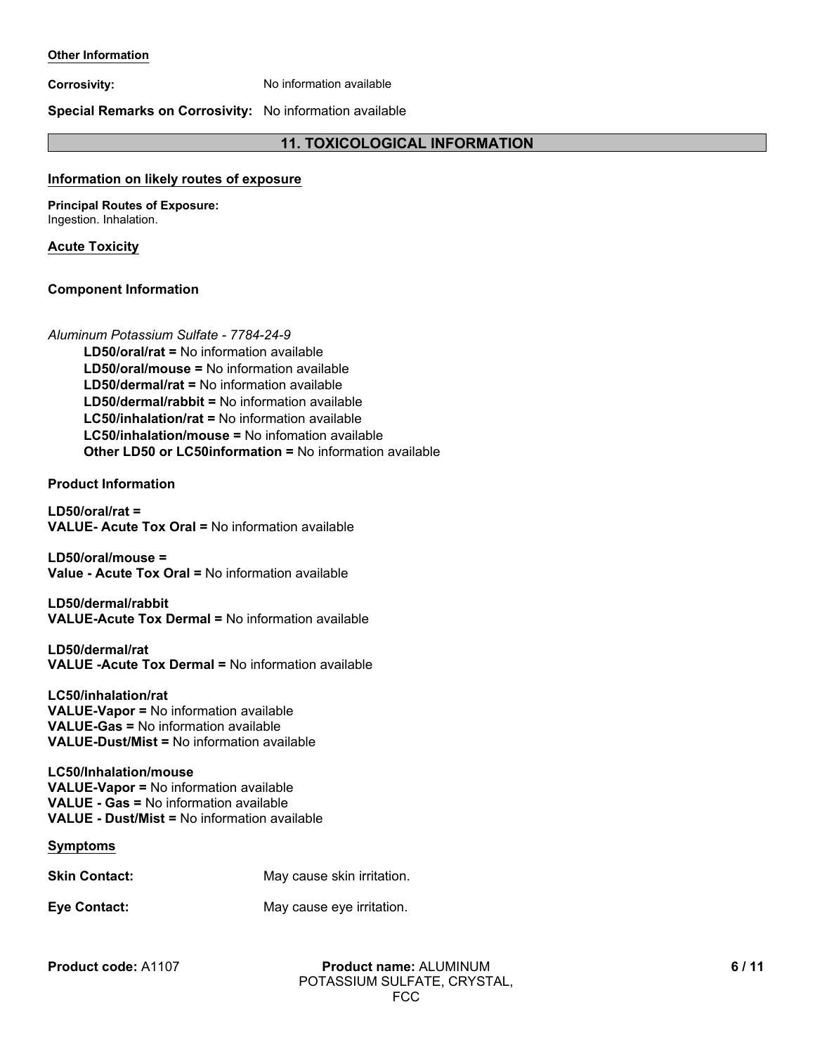#### **Other Information**

**Corrosivity:** No information available

**Special Remarks on Corrosivity:** No information available

## **11. TOXICOLOGICAL INFORMATION**

## **Information on likely routes of exposure**

**Principal Routes of Exposure:** Ingestion. Inhalation.

## **Acute Toxicity**

## **Component Information**

**Other LD50 or LC50information =** No information available **LD50/dermal/rat =** No information available *Aluminum Potassium Sulfate - 7784-24-9* **LD50/dermal/rabbit =** No information available **LC50/inhalation/rat =** No information available **LD50/oral/mouse =** No information available **LC50/inhalation/mouse =** No infomation available **LD50/oral/rat =** No information available

**Product Information**

**LD50/oral/rat = VALUE- Acute Tox Oral =** No information available

**LD50/oral/mouse = Value - Acute Tox Oral =** No information available

**LD50/dermal/rabbit VALUE-Acute Tox Dermal =** No information available

**LD50/dermal/rat VALUE -Acute Tox Dermal =** No information available

**LC50/inhalation/rat VALUE-Vapor =** No information available **VALUE-Gas =** No information available **VALUE-Dust/Mist =** No information available

**LC50/Inhalation/mouse VALUE-Vapor =** No information available **VALUE - Gas =** No information available **VALUE - Dust/Mist =** No information available

**Symptoms**

**Skin Contact:** May cause skin irritation.

**Eye Contact:** May cause eye irritation.

**Product code:** A1107 **Product name:** ALUMINUM POTASSIUM SULFATE, CRYSTAL, FCC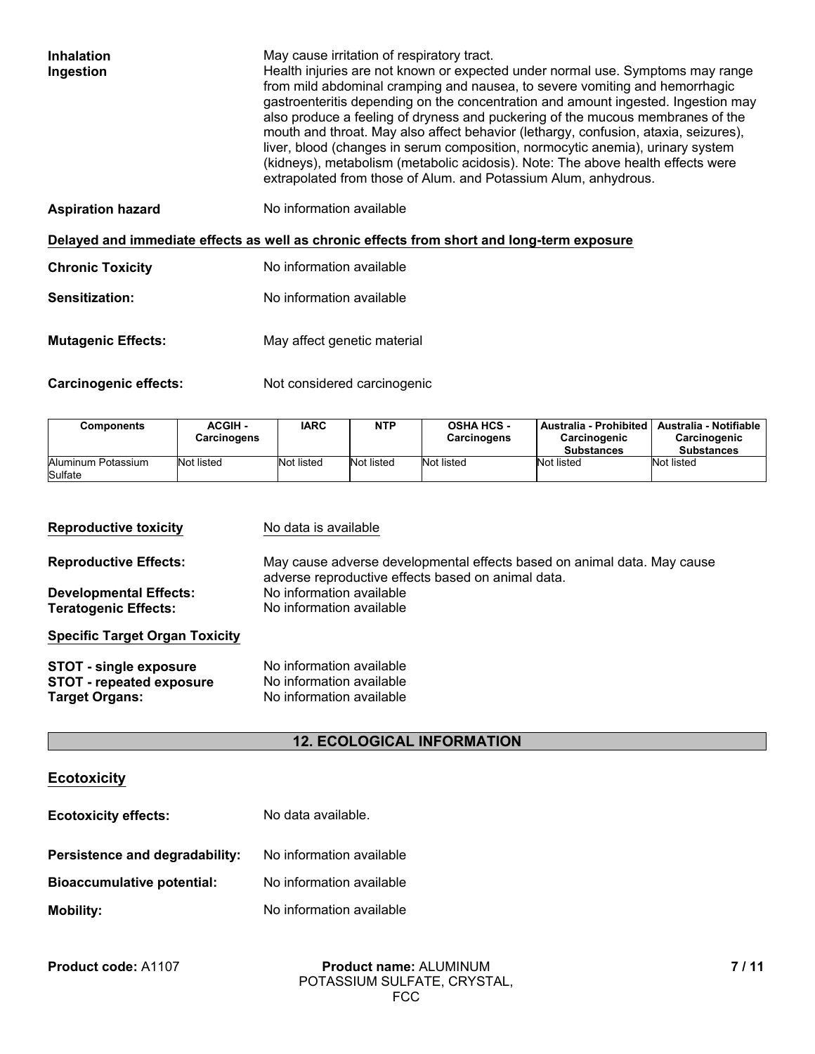| <b>Inhalation</b><br>Ingestion | May cause irritation of respiratory tract.<br>Health injuries are not known or expected under normal use. Symptoms may range<br>from mild abdominal cramping and nausea, to severe vomiting and hemorrhagic<br>gastroenteritis depending on the concentration and amount ingested. Ingestion may<br>also produce a feeling of dryness and puckering of the mucous membranes of the<br>mouth and throat. May also affect behavior (lethargy, confusion, ataxia, seizures),<br>liver, blood (changes in serum composition, normocytic anemia), urinary system<br>(kidneys), metabolism (metabolic acidosis). Note: The above health effects were<br>extrapolated from those of Alum. and Potassium Alum, anhydrous. |
|--------------------------------|-------------------------------------------------------------------------------------------------------------------------------------------------------------------------------------------------------------------------------------------------------------------------------------------------------------------------------------------------------------------------------------------------------------------------------------------------------------------------------------------------------------------------------------------------------------------------------------------------------------------------------------------------------------------------------------------------------------------|
| <b>Aspiration hazard</b>       | No information available                                                                                                                                                                                                                                                                                                                                                                                                                                                                                                                                                                                                                                                                                          |
|                                | Delayed and immediate effects as well as chronic effects from short and long-term exposure                                                                                                                                                                                                                                                                                                                                                                                                                                                                                                                                                                                                                        |
| <b>Chronic Toxicity</b>        | No information available                                                                                                                                                                                                                                                                                                                                                                                                                                                                                                                                                                                                                                                                                          |
| Sensitization:                 | No information available                                                                                                                                                                                                                                                                                                                                                                                                                                                                                                                                                                                                                                                                                          |
| <b>Mutagenic Effects:</b>      | May affect genetic material                                                                                                                                                                                                                                                                                                                                                                                                                                                                                                                                                                                                                                                                                       |

Carcinogenic effects: Not considered carcinogenic

| <b>Components</b>             | <b>ACGIH-</b><br>Carcinogens | <b>IARC</b> | <b>NTP</b> | <b>OSHA HCS -</b><br><b>Carcinogens</b> | Australia - Prohibited<br>Carcinogenic<br><b>Substances</b> | Australia - Notifiable<br>Carcinogenic<br><b>Substances</b> |
|-------------------------------|------------------------------|-------------|------------|-----------------------------------------|-------------------------------------------------------------|-------------------------------------------------------------|
| Aluminum Potassium<br>Sulfate | Not listed                   | Not listed  | Not listed | Not listed                              | Not listed                                                  | Not listed                                                  |

| <b>Reproductive toxicity</b>          | No data is available                                                                                                          |
|---------------------------------------|-------------------------------------------------------------------------------------------------------------------------------|
| <b>Reproductive Effects:</b>          | May cause adverse developmental effects based on animal data. May cause<br>adverse reproductive effects based on animal data. |
| <b>Developmental Effects:</b>         | No information available                                                                                                      |
| <b>Teratogenic Effects:</b>           | No information available                                                                                                      |
| <b>Specific Target Organ Toxicity</b> |                                                                                                                               |
| <b>STOT - single exposure</b>         | No information available                                                                                                      |
| <b>STOT - repeated exposure</b>       | No information available                                                                                                      |
| <b>Target Organs:</b>                 | No information available                                                                                                      |

# **12. ECOLOGICAL INFORMATION**

# **Ecotoxicity**

| <b>Ecotoxicity effects:</b>       | No data available.       |
|-----------------------------------|--------------------------|
| Persistence and degradability:    | No information available |
| <b>Bioaccumulative potential:</b> | No information available |
| <b>Mobility:</b>                  | No information available |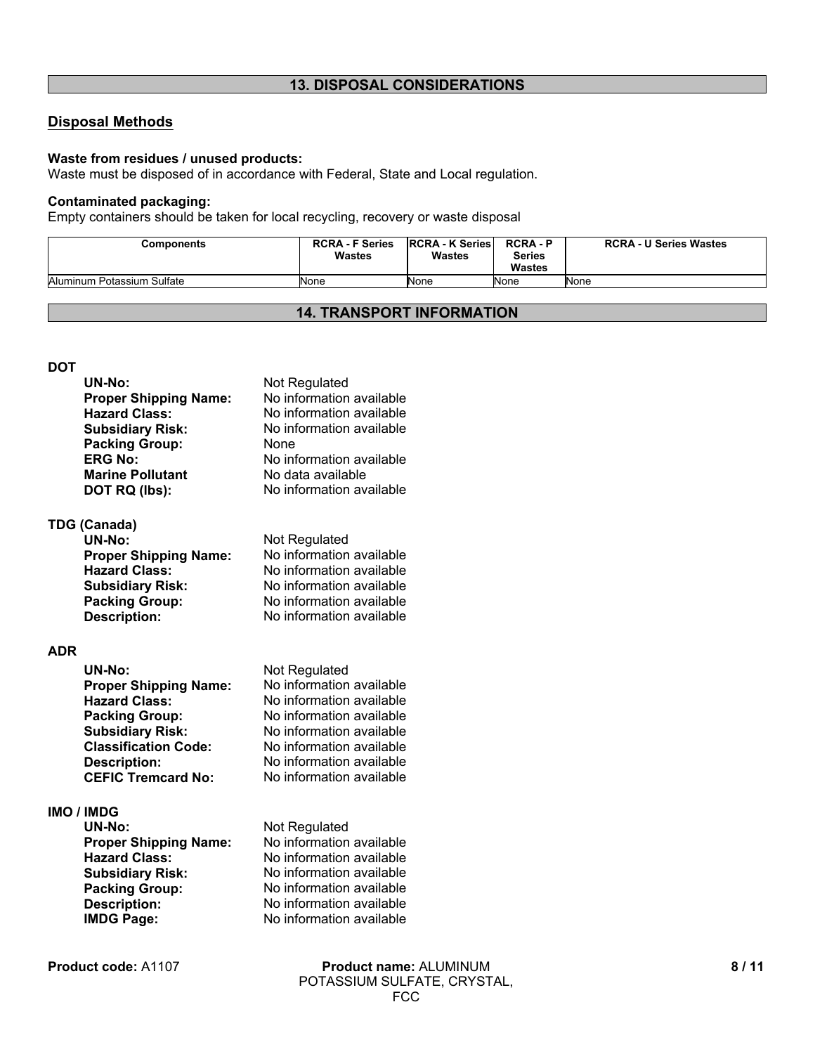## **Disposal Methods**

## **Waste from residues / unused products:**

Waste must be disposed of in accordance with Federal, State and Local regulation.

#### **Contaminated packaging:**

Empty containers should be taken for local recycling, recovery or waste disposal

| <b>Components</b>          | <b>RCRA - F Series</b><br>Wastes | <b>RCRA - K Series</b><br><b>Wastes</b> | <b>RCRA-P</b><br><b>Series</b><br><b>Wastes</b> | <b>RCRA - U Series Wastes</b> |
|----------------------------|----------------------------------|-----------------------------------------|-------------------------------------------------|-------------------------------|
| Aluminum Potassium Sulfate | None                             | None                                    | None                                            | None                          |

## **14. TRANSPORT INFORMATION**

## **DOT**

| UN-No:                       | Not Regulated            |
|------------------------------|--------------------------|
| <b>Proper Shipping Name:</b> | No information available |
| <b>Hazard Class:</b>         | No information available |
| <b>Subsidiary Risk:</b>      | No information available |
| <b>Packing Group:</b>        | <b>None</b>              |
| <b>ERG No:</b>               | No information available |
| <b>Marine Pollutant</b>      | No data available        |
| DOT RQ (lbs):                | No information available |
|                              |                          |

## **TDG (Canada)**

| UN-No:                       | Not Regulated            |
|------------------------------|--------------------------|
| <b>Proper Shipping Name:</b> | No information available |
| <b>Hazard Class:</b>         | No information available |
| <b>Subsidiary Risk:</b>      | No information available |
| <b>Packing Group:</b>        | No information available |
| <b>Description:</b>          | No information available |
|                              |                          |

## **ADR**

| UN-No:                       | Not Regulated            |
|------------------------------|--------------------------|
| <b>Proper Shipping Name:</b> | No information available |
| <b>Hazard Class:</b>         | No information available |
| <b>Packing Group:</b>        | No information available |
| <b>Subsidiary Risk:</b>      | No information available |
| <b>Classification Code:</b>  | No information available |
| <b>Description:</b>          | No information available |
| <b>CEFIC Tremcard No:</b>    | No information available |

## **IMO / IMDG**

| UN-No:                       | Not Regulated            |
|------------------------------|--------------------------|
| <b>Proper Shipping Name:</b> | No information available |
| <b>Hazard Class:</b>         | No information available |
| <b>Subsidiary Risk:</b>      | No information available |
| <b>Packing Group:</b>        | No information available |
| <b>Description:</b>          | No information available |
| <b>IMDG Page:</b>            | No information available |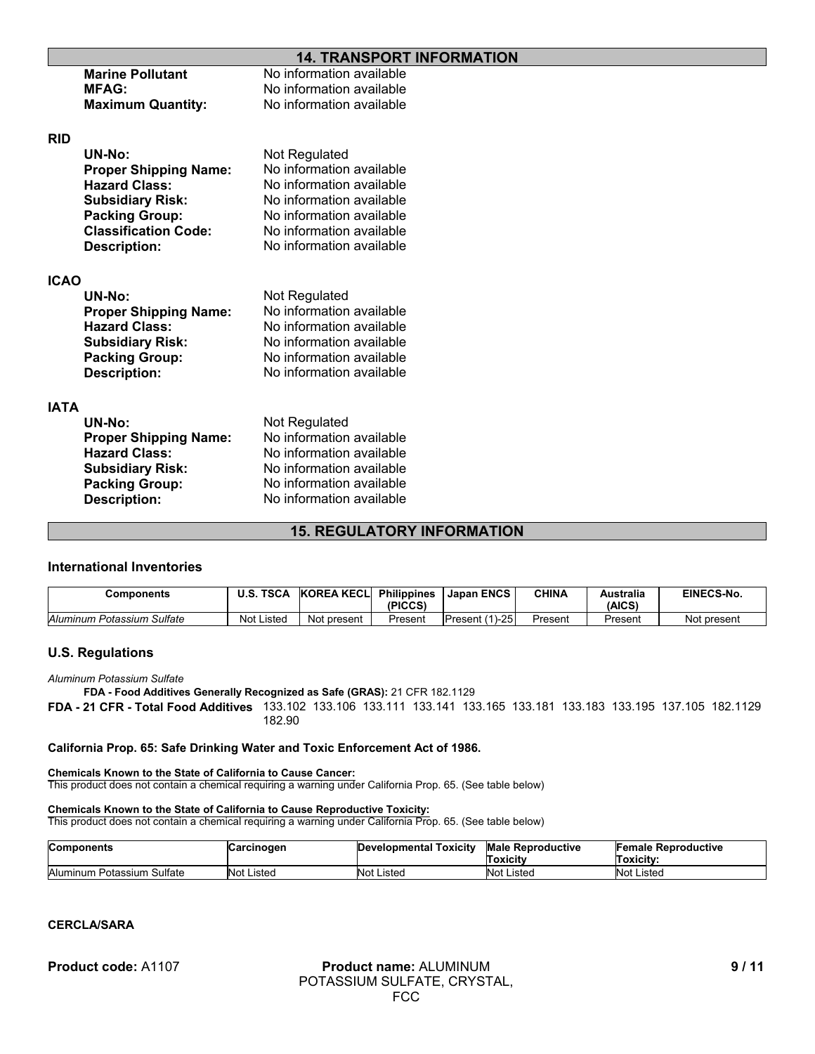## **14. TRANSPORT INFORMATION**

|             | <b>Marine Pollutant</b>                              | No information available                  |
|-------------|------------------------------------------------------|-------------------------------------------|
|             | <b>MFAG:</b>                                         | No information available                  |
|             | <b>Maximum Quantity:</b>                             | No information available                  |
|             |                                                      |                                           |
| <b>RID</b>  |                                                      |                                           |
|             | UN-No:                                               | Not Regulated                             |
|             | <b>Proper Shipping Name:</b>                         | No information available                  |
|             | <b>Hazard Class:</b>                                 | No information available                  |
|             | <b>Subsidiary Risk:</b>                              | No information available                  |
|             | <b>Packing Group:</b>                                | No information available                  |
|             | <b>Classification Code:</b>                          | No information available                  |
|             | <b>Description:</b>                                  | No information available                  |
|             |                                                      |                                           |
| <b>ICAO</b> |                                                      |                                           |
|             | <b>UN-No:</b>                                        |                                           |
|             |                                                      | Not Regulated<br>No information available |
|             | <b>Proper Shipping Name:</b><br><b>Hazard Class:</b> | No information available                  |
|             |                                                      | No information available                  |
|             | <b>Subsidiary Risk:</b>                              |                                           |
|             | <b>Packing Group:</b>                                | No information available                  |
|             | <b>Description:</b>                                  | No information available                  |
|             |                                                      |                                           |
| <b>IATA</b> |                                                      |                                           |
|             | UN-No:                                               | Not Regulated                             |
|             | <b>Proper Shipping Name:</b>                         | No information available                  |
|             | <b>Hazard Class:</b>                                 | No information available                  |
|             | <b>Subsidiary Risk:</b>                              | No information available                  |
|             | <b>Packing Group:</b>                                | No information available                  |
|             | <b>Description:</b>                                  | No information available                  |
|             |                                                      |                                           |

## **15. REGULATORY INFORMATION**

## **International Inventories**

| Components                 | <b>U.S. TSCA</b>  | <b>KOREA KECLI</b> | <b>Philippines</b><br><b>(PICCS)</b> | <b>Japan ENCS</b> | <b>CHINA</b> | <b>Australia</b><br>(AICS' | EINECS-No.  |
|----------------------------|-------------------|--------------------|--------------------------------------|-------------------|--------------|----------------------------|-------------|
| Aluminum Potassium Sulfate | <b>Not Listed</b> | Not present        | Present                              | Present (1)-25    | Present      | Present                    | Not present |

## **U.S. Regulations**

*Aluminum Potassium Sulfate*

**FDA - Food Additives Generally Recognized as Safe (GRAS):** 21 CFR 182.1129 **FDA - 21 CFR - Total Food Additives** 133.102 133.106 133.111 133.141 133.165 133.181 133.183 133.195 137.105 182.1129 182.90

#### **California Prop. 65: Safe Drinking Water and Toxic Enforcement Act of 1986.**

**Chemicals Known to the State of California to Cause Cancer:**

This product does not contain a chemical requiring a warning under California Prop. 65. (See table below)

#### **Chemicals Known to the State of California to Cause Reproductive Toxicity:**

This product does not contain a chemical requiring a warning under California Prop. 65. (See table below)

| <b>Components</b>          | Carcinogen        | Developmental Toxicity | <b>Male Reproductive</b><br>Toxicitv | <b>Female Reproductive</b><br><b>Toxicity:</b> |
|----------------------------|-------------------|------------------------|--------------------------------------|------------------------------------------------|
| Aluminum Potassium Sulfate | <b>Not Listed</b> | Not Listed             | Not Listed                           | Not Listed                                     |

#### **CERCLA/SARA**

**Product code:** A1107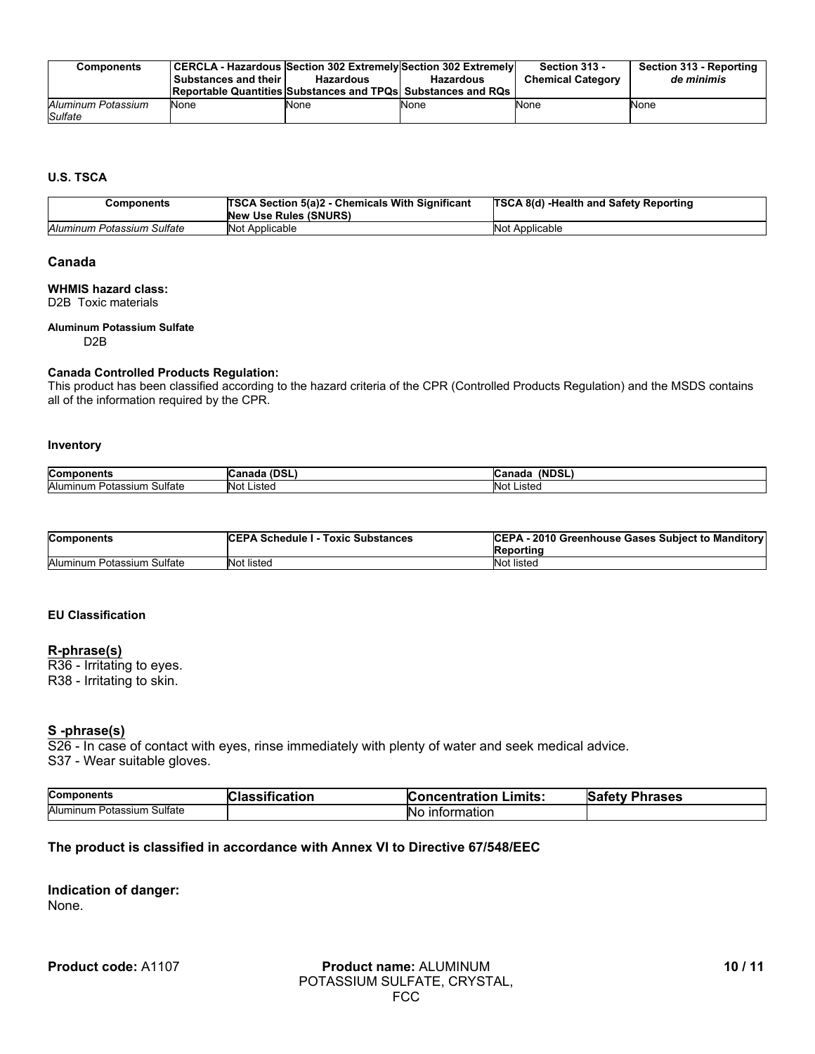| <b>Components</b>             | <b>Substances and their</b> | CERCLA - Hazardous  Section 302 Extremely Section 302 Extremely <br>Hazardous<br><u>   Reportable Quantities Substances and TPQs   Substances and RQs  </u> | <b>Hazardous</b> | Section 313 -<br><b>Chemical Category</b> | Section 313 - Reporting<br>de minimis |
|-------------------------------|-----------------------------|-------------------------------------------------------------------------------------------------------------------------------------------------------------|------------------|-------------------------------------------|---------------------------------------|
| Aluminum Potassium<br>Sulfate | None                        | None                                                                                                                                                        | None             | None                                      | None                                  |

## **U.S. TSCA**

| Components                 | <b>TSCA Section 5(a)2 - Chemicals With Significant</b><br><b>New Use Rules (SNURS)</b> | <b>TSCA 8(d) -Health and Safety Reporting</b> |
|----------------------------|----------------------------------------------------------------------------------------|-----------------------------------------------|
| Aluminum Potassium Sulfate | Not Applicable                                                                         | Not Applicable                                |

#### **Canada**

## **WHMIS hazard class:**

D2B Toxic materials

#### **Aluminum Potassium Sulfate**

D2B

#### **Canada Controlled Products Regulation:**

This product has been classified according to the hazard criteria of the CPR (Controlled Products Regulation) and the MSDS contains all of the information required by the CPR.

#### **Inventory**

| Comp<br>אחנ                                     | $- - -$<br>Ivanaud<br>וטשו | (NDSL<br>Canada               |
|-------------------------------------------------|----------------------------|-------------------------------|
| Aluminum<br>Sulfate<br>Potassii<br>ium<br>14111 | ⊣Not ′<br>_isted           | $N^+$<br>Listec<br><b>NUL</b> |

| <b>Components</b>          | <b>ICEPA Schedule I - Toxic Substances</b> | CEPA - 2010 Greenhouse Gases Subject to Manditory<br>Reporting |
|----------------------------|--------------------------------------------|----------------------------------------------------------------|
| Aluminum Potassium Sulfate | Not listed                                 | Not listed                                                     |

#### **EU Classification**

## **R-phrase(s)**

R36 - Irritating to eyes. R38 - Irritating to skin.

## **S -phrase(s)**

S26 - In case of contact with eyes, rinse immediately with plenty of water and seek medical advice.

S37 - Wear suitable gloves.

| <b>Components</b>          | ication  | Limits:             | Safety         |
|----------------------------|----------|---------------------|----------------|
|                            | uldaall" | Concentration l     | <b>Phrases</b> |
| Aluminum Potassium Sulfate |          | ∩information<br>IN٥ |                |

## **The product is classified in accordance with Annex VI to Directive 67/548/EEC**

**Indication of danger:** None.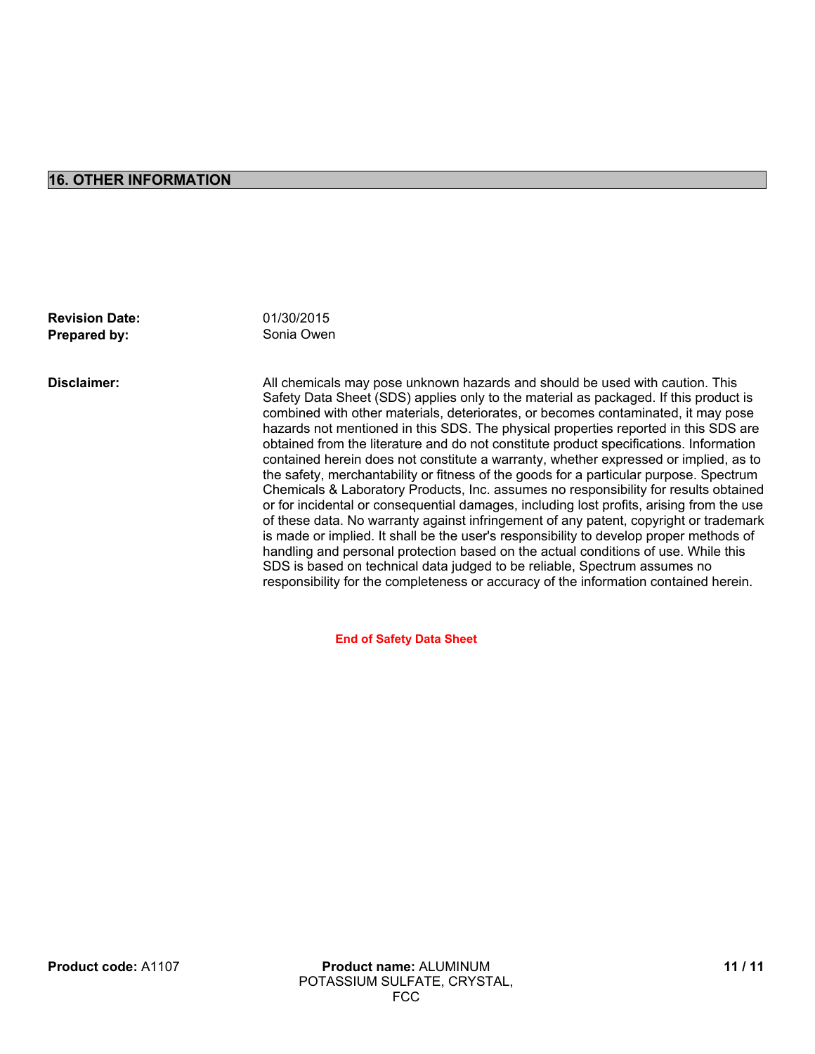## **16. OTHER INFORMATION**

**Revision Date:** 01/30/2015 **Prepared by:** Sonia Owen

**Disclaimer:** All chemicals may pose unknown hazards and should be used with caution. This Safety Data Sheet (SDS) applies only to the material as packaged. If this product is combined with other materials, deteriorates, or becomes contaminated, it may pose hazards not mentioned in this SDS. The physical properties reported in this SDS are obtained from the literature and do not constitute product specifications. Information contained herein does not constitute a warranty, whether expressed or implied, as to the safety, merchantability or fitness of the goods for a particular purpose. Spectrum Chemicals & Laboratory Products, Inc. assumes no responsibility for results obtained or for incidental or consequential damages, including lost profits, arising from the use of these data. No warranty against infringement of any patent, copyright or trademark is made or implied. It shall be the user's responsibility to develop proper methods of handling and personal protection based on the actual conditions of use. While this SDS is based on technical data judged to be reliable, Spectrum assumes no responsibility for the completeness or accuracy of the information contained herein.

**End of Safety Data Sheet**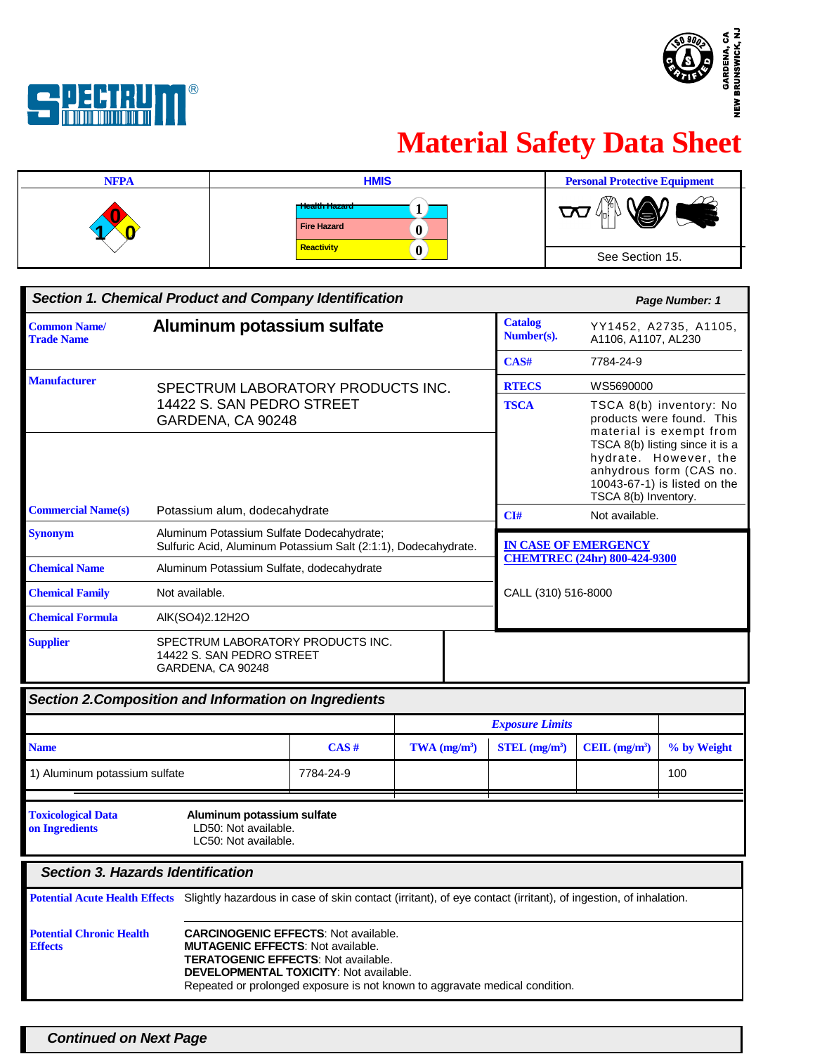



# **Material Safety Data Sheet**



| <b>Section 1. Chemical Product and Company Identification</b> |                                                                                                             |  |  |                                                                    | Page Number: 1                                                                                                                              |  |
|---------------------------------------------------------------|-------------------------------------------------------------------------------------------------------------|--|--|--------------------------------------------------------------------|---------------------------------------------------------------------------------------------------------------------------------------------|--|
| <b>Common Name/</b><br><b>Trade Name</b>                      | Aluminum potassium sulfate                                                                                  |  |  | <b>Catalog</b><br>Number(s).                                       | YY1452, A2735, A1105,<br>A1106, A1107, AL230                                                                                                |  |
|                                                               |                                                                                                             |  |  | CAS#                                                               | 7784-24-9                                                                                                                                   |  |
| <b>Manufacturer</b>                                           | SPECTRUM LABORATORY PRODUCTS INC.                                                                           |  |  | <b>RTECS</b>                                                       | WS5690000                                                                                                                                   |  |
|                                                               | 14422 S. SAN PEDRO STREET<br>GARDENA, CA 90248                                                              |  |  | <b>TSCA</b>                                                        | TSCA 8(b) inventory: No<br>products were found. This<br>material is exempt from                                                             |  |
|                                                               |                                                                                                             |  |  |                                                                    | TSCA 8(b) listing since it is a<br>hydrate. However, the<br>anhydrous form (CAS no.<br>10043-67-1) is listed on the<br>TSCA 8(b) Inventory. |  |
| <b>Commercial Name(s)</b>                                     | Potassium alum, dodecahydrate                                                                               |  |  | CI#                                                                | Not available.                                                                                                                              |  |
| <b>Synonym</b>                                                | Aluminum Potassium Sulfate Dodecahydrate;<br>Sulfuric Acid, Aluminum Potassium Salt (2:1:1), Dodecahydrate. |  |  | <b>IN CASE OF EMERGENCY</b><br><b>CHEMTREC (24hr) 800-424-9300</b> |                                                                                                                                             |  |
| <b>Chemical Name</b>                                          | Aluminum Potassium Sulfate, dodecahydrate                                                                   |  |  |                                                                    |                                                                                                                                             |  |
| <b>Chemical Family</b>                                        | Not available.                                                                                              |  |  | CALL (310) 516-8000                                                |                                                                                                                                             |  |
| <b>Chemical Formula</b>                                       | AIK(SO4)2.12H2O                                                                                             |  |  |                                                                    |                                                                                                                                             |  |
| <b>Supplier</b>                                               | SPECTRUM LABORATORY PRODUCTS INC.<br>14422 S. SAN PEDRO STREET<br>GARDENA, CA 90248                         |  |  |                                                                    |                                                                                                                                             |  |
|                                                               | <b>Section 2. Composition and Information on Ingredients</b>                                                |  |  |                                                                    |                                                                                                                                             |  |
|                                                               |                                                                                                             |  |  | <b>Exposure Limits</b>                                             |                                                                                                                                             |  |

|                                                   |                                                                                                                                                                                                                                                                       | <b>Exposure Limits</b> |                            |                             |                                    |             |
|---------------------------------------------------|-----------------------------------------------------------------------------------------------------------------------------------------------------------------------------------------------------------------------------------------------------------------------|------------------------|----------------------------|-----------------------------|------------------------------------|-------------|
| <b>Name</b>                                       |                                                                                                                                                                                                                                                                       | CAS#                   | $TWA$ (mg/m <sup>3</sup> ) | $STEL$ (mg/m <sup>3</sup> ) | $\text{CELL}$ (mg/m <sup>3</sup> ) | % by Weight |
| 1) Aluminum potassium sulfate<br>7784-24-9        |                                                                                                                                                                                                                                                                       |                        |                            |                             |                                    | 100         |
| <b>Toxicological Data</b><br>on Ingredients       | Aluminum potassium sulfate<br>LD50: Not available.<br>LC50: Not available.                                                                                                                                                                                            |                        |                            |                             |                                    |             |
| <b>Section 3. Hazards Identification</b>          |                                                                                                                                                                                                                                                                       |                        |                            |                             |                                    |             |
| <b>Potential Acute Health Effects</b>             | Slightly hazardous in case of skin contact (irritant), of eye contact (irritant), of ingestion, of inhalation.                                                                                                                                                        |                        |                            |                             |                                    |             |
| <b>Potential Chronic Health</b><br><b>Effects</b> | <b>CARCINOGENIC EFFECTS: Not available.</b><br><b>MUTAGENIC EFFECTS: Not available.</b><br><b>TERATOGENIC EFFECTS: Not available.</b><br><b>DEVELOPMENTAL TOXICITY: Not available.</b><br>Repeated or prolonged exposure is not known to aggravate medical condition. |                        |                            |                             |                                    |             |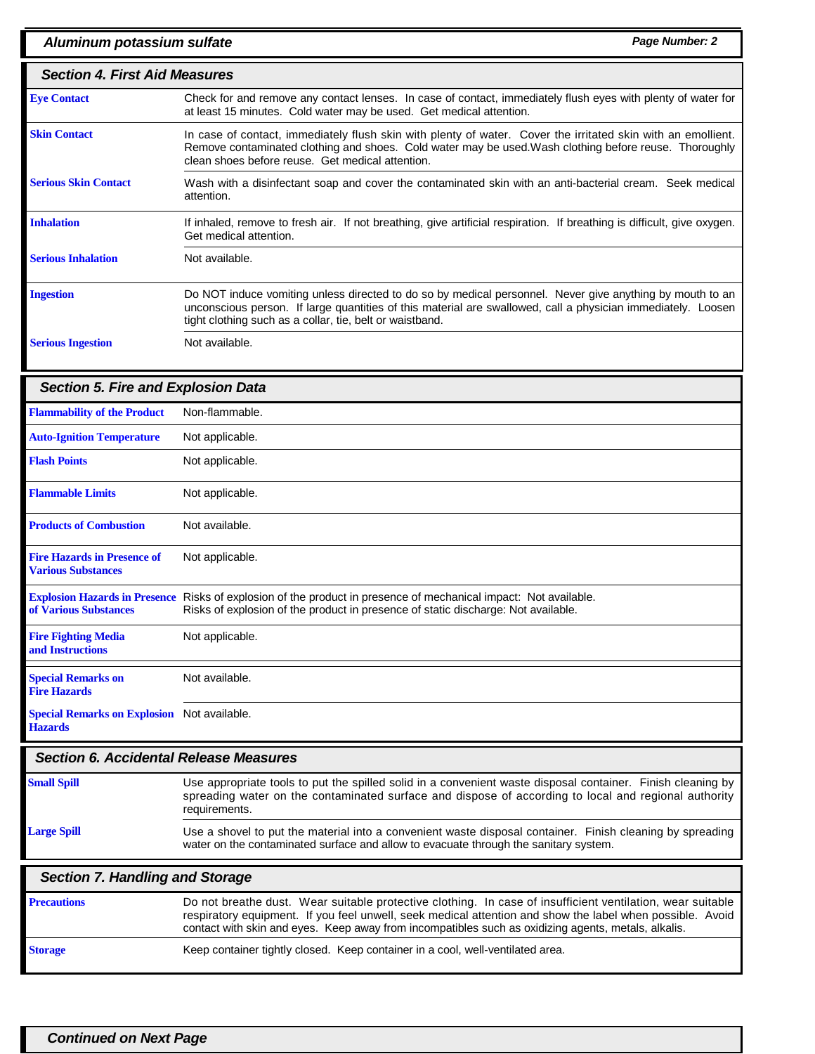## **Aluminum potassium sulfate Page Number: 2**

| <b>Section 4. First Aid Measures</b>                                 |                                                                                                                                                                                                                                                                                      |
|----------------------------------------------------------------------|--------------------------------------------------------------------------------------------------------------------------------------------------------------------------------------------------------------------------------------------------------------------------------------|
| <b>Eye Contact</b>                                                   | Check for and remove any contact lenses. In case of contact, immediately flush eyes with plenty of water for<br>at least 15 minutes. Cold water may be used. Get medical attention.                                                                                                  |
| <b>Skin Contact</b>                                                  | In case of contact, immediately flush skin with plenty of water. Cover the irritated skin with an emollient.<br>Remove contaminated clothing and shoes. Cold water may be used. Wash clothing before reuse. Thoroughly<br>clean shoes before reuse. Get medical attention.           |
| <b>Serious Skin Contact</b>                                          | Wash with a disinfectant soap and cover the contaminated skin with an anti-bacterial cream. Seek medical<br>attention.                                                                                                                                                               |
| <b>Inhalation</b>                                                    | If inhaled, remove to fresh air. If not breathing, give artificial respiration. If breathing is difficult, give oxygen.<br>Get medical attention.                                                                                                                                    |
| <b>Serious Inhalation</b>                                            | Not available.                                                                                                                                                                                                                                                                       |
| <b>Ingestion</b>                                                     | Do NOT induce vomiting unless directed to do so by medical personnel. Never give anything by mouth to an<br>unconscious person. If large quantities of this material are swallowed, call a physician immediately. Loosen<br>tight clothing such as a collar, tie, belt or waistband. |
| <b>Serious Ingestion</b>                                             | Not available.                                                                                                                                                                                                                                                                       |
| <b>Section 5. Fire and Explosion Data</b>                            |                                                                                                                                                                                                                                                                                      |
| <b>Flammability of the Product</b>                                   | Non-flammable.                                                                                                                                                                                                                                                                       |
| <b>Auto-Ignition Temperature</b>                                     | Not applicable.                                                                                                                                                                                                                                                                      |
| <b>Flash Points</b>                                                  | Not applicable.                                                                                                                                                                                                                                                                      |
| <b>Flammable Limits</b>                                              | Not applicable.                                                                                                                                                                                                                                                                      |
| <b>Products of Combustion</b>                                        | Not available.                                                                                                                                                                                                                                                                       |
| <b>Fire Hazards in Presence of</b><br><b>Various Substances</b>      | Not applicable.                                                                                                                                                                                                                                                                      |
| of Various Substances                                                | Explosion Hazards in Presence Risks of explosion of the product in presence of mechanical impact: Not available.<br>Risks of explosion of the product in presence of static discharge: Not available.                                                                                |
| <b>Fire Fighting Media</b><br>and Instructions                       | Not applicable.                                                                                                                                                                                                                                                                      |
| <b>Special Remarks on</b><br><b>Fire Hazards</b>                     | Not available.                                                                                                                                                                                                                                                                       |
| <b>Special Remarks on Explosion</b> Not available.<br><b>Hazards</b> |                                                                                                                                                                                                                                                                                      |
| <b>Section 6. Accidental Release Measures</b>                        |                                                                                                                                                                                                                                                                                      |
| <b>Small Spill</b>                                                   | Use appropriate tools to put the spilled solid in a convenient waste disposal container. Finish cleaning by<br>spreading water on the contaminated surface and dispose of according to local and regional authority<br>requirements.                                                 |
| <b>Large Spill</b>                                                   | Use a shovel to put the material into a convenient waste disposal container. Finish cleaning by spreading                                                                                                                                                                            |

# **Section 7. Handling and Storage**

| <b>Precautions</b> | Do not breathe dust. Wear suitable protective clothing. In case of insufficient ventilation, wear suitable<br>respiratory equipment. If you feel unwell, seek medical attention and show the label when possible. Avoid<br>contact with skin and eyes. Keep away from incompatibles such as oxidizing agents, metals, alkalis. |
|--------------------|--------------------------------------------------------------------------------------------------------------------------------------------------------------------------------------------------------------------------------------------------------------------------------------------------------------------------------|
| <b>Storage</b>     | Keep container tightly closed. Keep container in a cool, well-ventilated area.                                                                                                                                                                                                                                                 |

water on the contaminated surface and allow to evacuate through the sanitary system.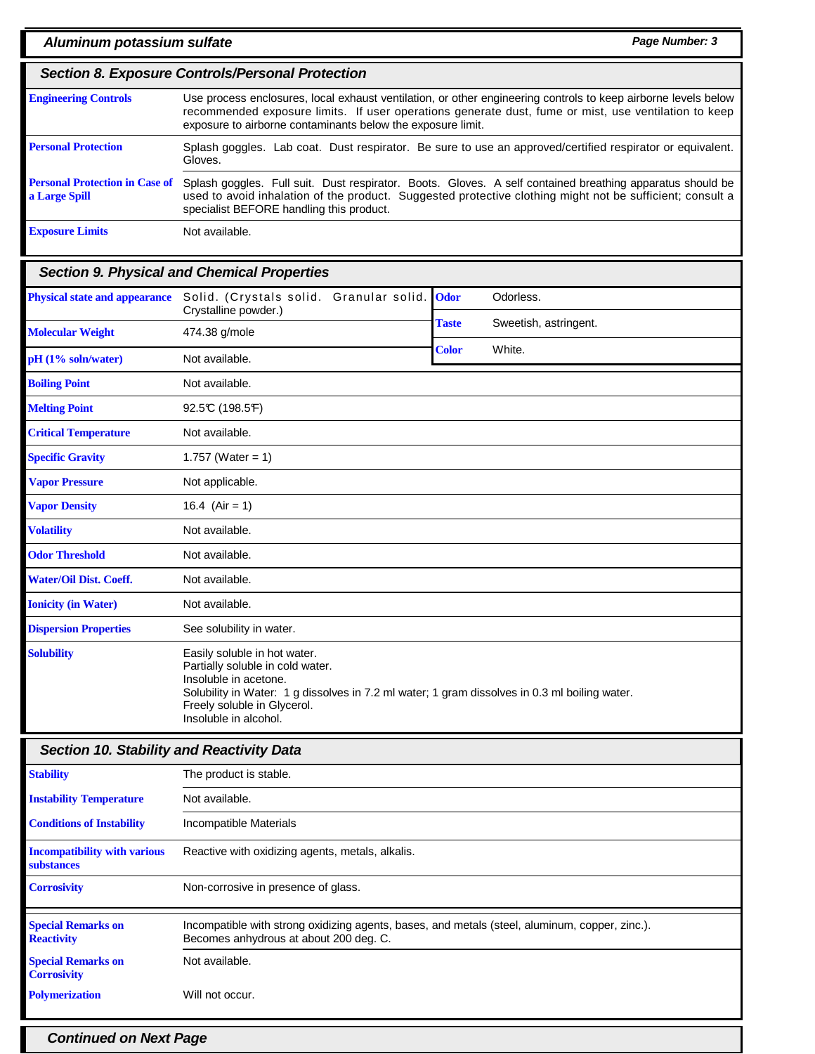| Aluminum potassium sulfate |  |
|----------------------------|--|
|                            |  |

**Page Number: 3** 

|                                                        | <b>Section 8. Exposure Controls/Personal Protection</b>                                                                                                                                                                                                                               |
|--------------------------------------------------------|---------------------------------------------------------------------------------------------------------------------------------------------------------------------------------------------------------------------------------------------------------------------------------------|
| <b>Engineering Controls</b>                            | Use process enclosures, local exhaust ventilation, or other engineering controls to keep airborne levels below<br>recommended exposure limits. If user operations generate dust, fume or mist, use ventilation to keep<br>exposure to airborne contaminants below the exposure limit. |
| <b>Personal Protection</b>                             | Splash goggles. Lab coat. Dust respirator. Be sure to use an approved/certified respirator or equivalent.<br>Gloves.                                                                                                                                                                  |
| <b>Personal Protection in Case of</b><br>a Large Spill | Splash goggles. Full suit. Dust respirator. Boots. Gloves. A self contained breathing apparatus should be<br>used to avoid inhalation of the product. Suggested protective clothing might not be sufficient; consult a<br>specialist BEFORE handling this product.                    |
| <b>Exposure Limits</b>                                 | Not available.                                                                                                                                                                                                                                                                        |

# **Section 9. Physical and Chemical Properties**

| <b>Physical state and appearance</b> | Solid. (Crystals solid. Granular solid.)<br>Crystalline powder.)                                                                                  | <b>Odor</b>  | Odorless.                                                                                     |
|--------------------------------------|---------------------------------------------------------------------------------------------------------------------------------------------------|--------------|-----------------------------------------------------------------------------------------------|
| <b>Molecular Weight</b>              | 474.38 g/mole                                                                                                                                     | <b>Taste</b> | Sweetish, astringent.                                                                         |
| $pH(1\% soln/water)$                 | Not available.                                                                                                                                    | <b>Color</b> | White.                                                                                        |
| <b>Boiling Point</b>                 | Not available.                                                                                                                                    |              |                                                                                               |
| <b>Melting Point</b>                 | 92.5°C (198.5°F)                                                                                                                                  |              |                                                                                               |
| <b>Critical Temperature</b>          | Not available.                                                                                                                                    |              |                                                                                               |
| <b>Specific Gravity</b>              | 1.757 (Water = 1)                                                                                                                                 |              |                                                                                               |
| <b>Vapor Pressure</b>                | Not applicable.                                                                                                                                   |              |                                                                                               |
| <b>Vapor Density</b>                 | 16.4 $(Air = 1)$                                                                                                                                  |              |                                                                                               |
| <b>Volatility</b>                    | Not available.                                                                                                                                    |              |                                                                                               |
| <b>Odor Threshold</b>                | Not available.                                                                                                                                    |              |                                                                                               |
| <b>Water/Oil Dist. Coeff.</b>        | Not available.                                                                                                                                    |              |                                                                                               |
| <b>Ionicity (in Water)</b>           | Not available.                                                                                                                                    |              |                                                                                               |
| <b>Dispersion Properties</b>         | See solubility in water.                                                                                                                          |              |                                                                                               |
| <b>Solubility</b>                    | Easily soluble in hot water.<br>Partially soluble in cold water.<br>Insoluble in acetone.<br>Freely soluble in Glycerol.<br>Insoluble in alcohol. |              | Solubility in Water: 1 g dissolves in 7.2 ml water; 1 gram dissolves in 0.3 ml boiling water. |

# **Section 10. Stability and Reactivity Data**

| <b>Stability</b>                                         | The product is stable.                                                                                                                   |
|----------------------------------------------------------|------------------------------------------------------------------------------------------------------------------------------------------|
| <b>Instability Temperature</b>                           | Not available.                                                                                                                           |
| <b>Conditions of Instability</b>                         | Incompatible Materials                                                                                                                   |
| <b>Incompatibility with various</b><br><b>substances</b> | Reactive with oxidizing agents, metals, alkalis.                                                                                         |
| <b>Corrosivity</b>                                       | Non-corrosive in presence of glass.                                                                                                      |
| <b>Special Remarks on</b><br><b>Reactivity</b>           | Incompatible with strong oxidizing agents, bases, and metals (steel, aluminum, copper, zinc.).<br>Becomes anhydrous at about 200 deg. C. |
| <b>Special Remarks on</b><br><b>Corrosivity</b>          | Not available.                                                                                                                           |
| <b>Polymerization</b>                                    | Will not occur.                                                                                                                          |

# **Continued on Next Page**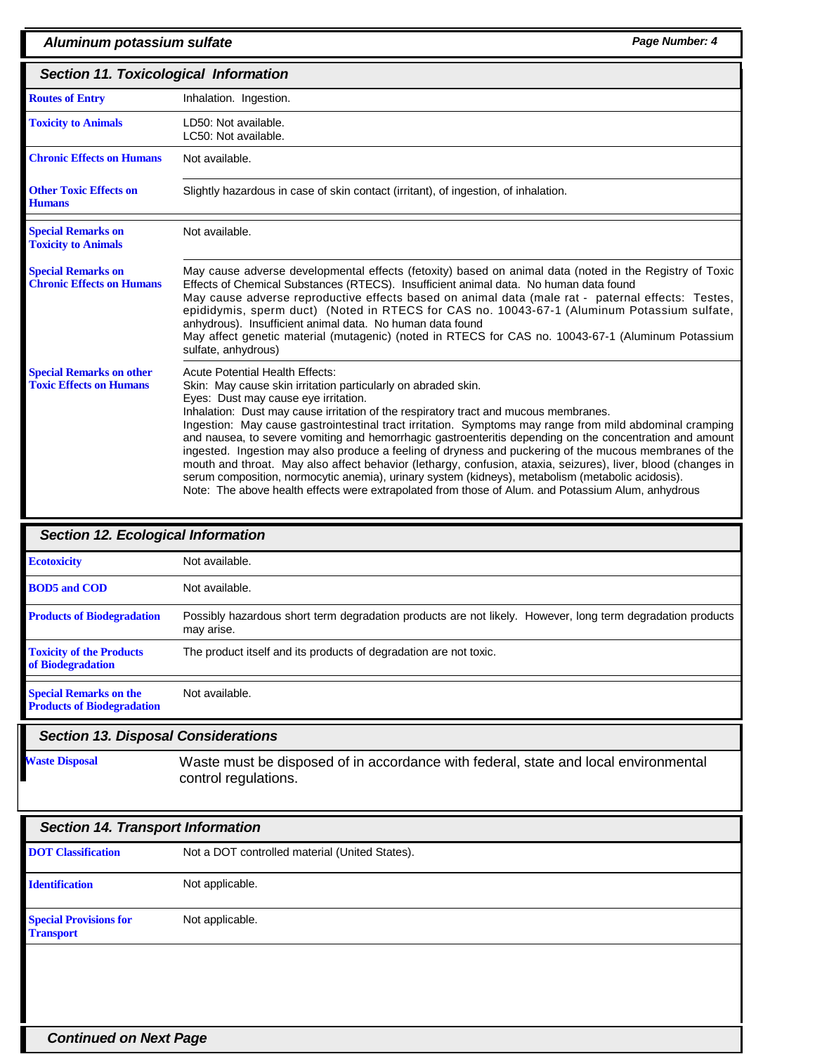## **Aluminum potassium sulfate Page Number: 4**

| <b>Section 11. Toxicological Information</b>                      |                                                                                                                                                                                                                                                                                                                                                                                                                                                                                                                                                                                                                                                                                                                                                                                                                                                                                                     |  |  |  |
|-------------------------------------------------------------------|-----------------------------------------------------------------------------------------------------------------------------------------------------------------------------------------------------------------------------------------------------------------------------------------------------------------------------------------------------------------------------------------------------------------------------------------------------------------------------------------------------------------------------------------------------------------------------------------------------------------------------------------------------------------------------------------------------------------------------------------------------------------------------------------------------------------------------------------------------------------------------------------------------|--|--|--|
| <b>Routes of Entry</b>                                            | Inhalation. Ingestion.                                                                                                                                                                                                                                                                                                                                                                                                                                                                                                                                                                                                                                                                                                                                                                                                                                                                              |  |  |  |
| <b>Toxicity to Animals</b>                                        | LD50: Not available.<br>LC50: Not available.                                                                                                                                                                                                                                                                                                                                                                                                                                                                                                                                                                                                                                                                                                                                                                                                                                                        |  |  |  |
| <b>Chronic Effects on Humans</b>                                  | Not available.                                                                                                                                                                                                                                                                                                                                                                                                                                                                                                                                                                                                                                                                                                                                                                                                                                                                                      |  |  |  |
| <b>Other Toxic Effects on</b><br><b>Humans</b>                    | Slightly hazardous in case of skin contact (irritant), of ingestion, of inhalation.                                                                                                                                                                                                                                                                                                                                                                                                                                                                                                                                                                                                                                                                                                                                                                                                                 |  |  |  |
| <b>Special Remarks on</b><br><b>Toxicity to Animals</b>           | Not available.                                                                                                                                                                                                                                                                                                                                                                                                                                                                                                                                                                                                                                                                                                                                                                                                                                                                                      |  |  |  |
| <b>Special Remarks on</b><br><b>Chronic Effects on Humans</b>     | May cause adverse developmental effects (fetoxity) based on animal data (noted in the Registry of Toxic<br>Effects of Chemical Substances (RTECS). Insufficient animal data. No human data found<br>May cause adverse reproductive effects based on animal data (male rat - paternal effects: Testes,<br>epididymis, sperm duct) (Noted in RTECS for CAS no. 10043-67-1 (Aluminum Potassium sulfate,<br>anhydrous). Insufficient animal data. No human data found<br>May affect genetic material (mutagenic) (noted in RTECS for CAS no. 10043-67-1 (Aluminum Potassium<br>sulfate, anhydrous)                                                                                                                                                                                                                                                                                                      |  |  |  |
| <b>Special Remarks on other</b><br><b>Toxic Effects on Humans</b> | <b>Acute Potential Health Effects:</b><br>Skin: May cause skin irritation particularly on abraded skin.<br>Eyes: Dust may cause eye irritation.<br>Inhalation: Dust may cause irritation of the respiratory tract and mucous membranes.<br>Ingestion: May cause gastrointestinal tract irritation. Symptoms may range from mild abdominal cramping<br>and nausea, to severe vomiting and hemorrhagic gastroenteritis depending on the concentration and amount<br>ingested. Ingestion may also produce a feeling of dryness and puckering of the mucous membranes of the<br>mouth and throat. May also affect behavior (lethargy, confusion, ataxia, seizures), liver, blood (changes in<br>serum composition, normocytic anemia), urinary system (kidneys), metabolism (metabolic acidosis).<br>Note: The above health effects were extrapolated from those of Alum. and Potassium Alum, anhydrous |  |  |  |

| <b>Section 12. Ecological Information</b>                          |                                                                                                                          |  |  |  |
|--------------------------------------------------------------------|--------------------------------------------------------------------------------------------------------------------------|--|--|--|
| <b>Ecotoxicity</b>                                                 | Not available.                                                                                                           |  |  |  |
| <b>BOD5</b> and COD                                                | Not available.                                                                                                           |  |  |  |
| <b>Products of Biodegradation</b>                                  | Possibly hazardous short term degradation products are not likely. However, long term degradation products<br>may arise. |  |  |  |
| <b>Toxicity of the Products</b><br>of Biodegradation               | The product itself and its products of degradation are not toxic.                                                        |  |  |  |
| <b>Special Remarks on the</b><br><b>Products of Biodegradation</b> | Not available.                                                                                                           |  |  |  |

# **Section 13. Disposal Considerations**

**Waste Disposal** Waste must be disposed of in accordance with federal, state and local environmental control regulations.

| <b>Section 14. Transport Information</b>          |                                                |  |  |
|---------------------------------------------------|------------------------------------------------|--|--|
| <b>DOT</b> Classification                         | Not a DOT controlled material (United States). |  |  |
| <b>Identification</b>                             | Not applicable.                                |  |  |
| <b>Special Provisions for</b><br><b>Transport</b> | Not applicable.                                |  |  |
|                                                   |                                                |  |  |
|                                                   |                                                |  |  |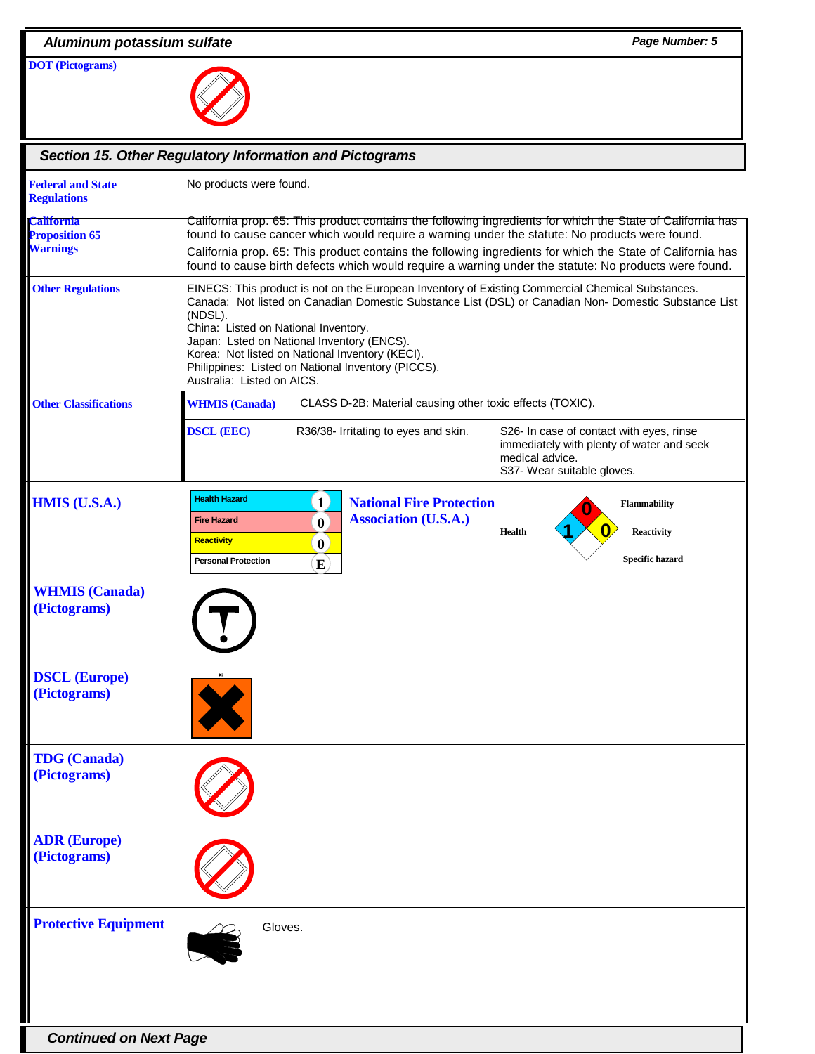**DOT (Pictograms)**



**Section 15. Other Regulatory Information and Pictograms**

## EINECS: This product is not on the European Inventory of Existing Commercial Chemical Substances. Canada: Not listed on Canadian Domestic Substance List (DSL) or Canadian Non- Domestic Substance List (NDSL). China: Listed on National Inventory. Japan: Lsted on National Inventory (ENCS). Korea: Not listed on National Inventory (KECI). Philippines: Listed on National Inventory (PICCS). Australia: Listed on AICS. **0 0 1 1 0 0 E** CLASS D-2B: Material causing other toxic effects (TOXIC). R36/38- Irritating to eyes and skin. **Other Regulations Other Classifications WHMIS (Canada) DSCL (EEC) HMIS (U.S.A.) Health Hazard Fire Hazard Reactivity National Fire Protection Association (U.S.A.) Personal Protection Health Flammability Reactivity Specific hazard WHMIS (Canada) (Pictograms) DSCL (Europe) (Pictograms) TDG (Canada) (Pictograms) ADR (Europe) (Pictograms) Protective Equipment** (C) Gloves. **Federal and State Regulations** No products were found. **California Proposition 65 Warnings** California prop. 65: This product contains the following ingredients for which the State of California has found to cause cancer which would require a warning under the statute: No products were found. California prop. 65: This product contains the following ingredients for which the State of California has found to cause birth defects which would require a warning under the statute: No products were found. S26- In case of contact with eyes, rinse immediately with plenty of water and seek medical advice. S37- Wear suitable gloves.

**Continued on Next Page**